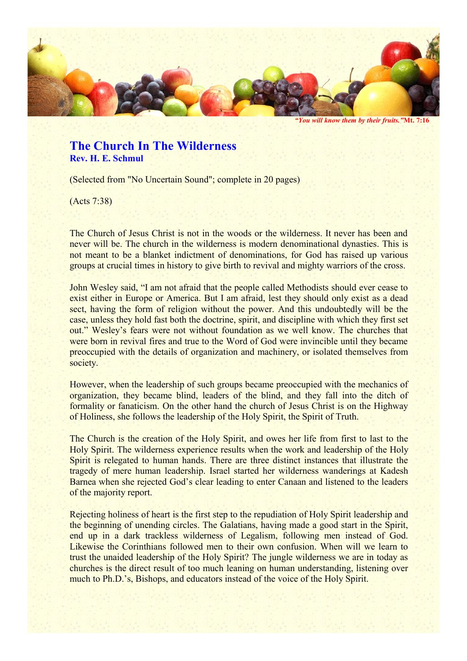

*"You will know them by their fruits."***Mt. 7:16**

## **The Church In The Wilderness Rev. H. E. Schmul**

(Selected from "No Uncertain Sound"; complete in 20 pages)

(Acts 7:38)

The Church of Jesus Christ is not in the woods or the wilderness. It never has been and never will be. The church in the wilderness is modern denominational dynasties. This is not meant to be a blanket indictment of denominations, for God has raised up various groups at crucial times in history to give birth to revival and mighty warriors of the cross.

John Wesley said, "I am not afraid that the people called Methodists should ever cease to exist either in Europe or America. But I am afraid, lest they should only exist as a dead sect, having the form of religion without the power. And this undoubtedly will be the case, unless they hold fast both the doctrine, spirit, and discipline with which they first set out." Wesley's fears were not without foundation as we well know. The churches that were born in revival fires and true to the Word of God were invincible until they became preoccupied with the details of organization and machinery, or isolated themselves from society.

However, when the leadership of such groups became preoccupied with the mechanics of organization, they became blind, leaders of the blind, and they fall into the ditch of formality or fanaticism. On the other hand the church of Jesus Christ is on the Highway of Holiness, she follows the leadership of the Holy Spirit, the Spirit of Truth.

The Church is the creation of the Holy Spirit, and owes her life from first to last to the Holy Spirit. The wilderness experience results when the work and leadership of the Holy Spirit is relegated to human hands. There are three distinct instances that illustrate the tragedy of mere human leadership. Israel started her wilderness wanderings at Kadesh Barnea when she rejected God's clear leading to enter Canaan and listened to the leaders of the majority report.

Rejecting holiness of heart is the first step to the repudiation of Holy Spirit leadership and the beginning of unending circles. The Galatians, having made a good start in the Spirit, end up in a dark trackless wilderness of Legalism, following men instead of God. Likewise the Corinthians followed men to their own confusion. When will we learn to trust the unaided leadership of the Holy Spirit? The jungle wilderness we are in today as churches is the direct result of too much leaning on human understanding, listening over much to Ph.D.'s, Bishops, and educators instead of the voice of the Holy Spirit.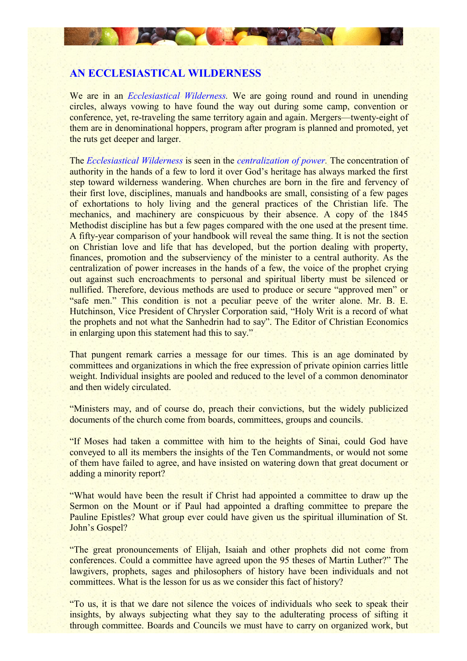

# **AN ECCLESIASTICAL WILDERNESS**

We are in an *Ecclesiastical Wilderness.* We are going round and round in unending circles, always vowing to have found the way out during some camp, convention or conference, yet, re-traveling the same territory again and again. Mergers—twenty-eight of them are in denominational hoppers, program after program is planned and promoted, yet the ruts get deeper and larger.

The *Ecclesiastical Wilderness* is seen in the *centralization of power.* The concentration of authority in the hands of a few to lord it over God's heritage has always marked the first step toward wilderness wandering. When churches are born in the fire and fervency of their first love, disciplines, manuals and handbooks are small, consisting of a few pages of exhortations to holy living and the general practices of the Christian life. The mechanics, and machinery are conspicuous by their absence. A copy of the 1845 Methodist discipline has but a few pages compared with the one used at the present time. A fifty-year comparison of your handbook will reveal the same thing. It is not the section on Christian love and life that has developed, but the portion dealing with property, finances, promotion and the subserviency of the minister to a central authority. As the centralization of power increases in the hands of a few, the voice of the prophet crying out against such encroachments to personal and spiritual liberty must be silenced or nullified. Therefore, devious methods are used to produce or secure "approved men" or "safe men." This condition is not a peculiar peeve of the writer alone. Mr. B. E. Hutchinson, Vice President of Chrysler Corporation said, "Holy Writ is a record of what the prophets and not what the Sanhedrin had to say". The Editor of Christian Economics in enlarging upon this statement had this to say."

That pungent remark carries a message for our times. This is an age dominated by committees and organizations in which the free expression of private opinion carries little weight. Individual insights are pooled and reduced to the level of a common denominator and then widely circulated.

"Ministers may, and of course do, preach their convictions, but the widely publicized documents of the church come from boards, committees, groups and councils.

"If Moses had taken a committee with him to the heights of Sinai, could God have conveyed to all its members the insights of the Ten Commandments, or would not some of them have failed to agree, and have insisted on watering down that great document or adding a minority report?

"What would have been the result if Christ had appointed a committee to draw up the Sermon on the Mount or if Paul had appointed a drafting committee to prepare the Pauline Epistles? What group ever could have given us the spiritual illumination of St. John's Gospel?

"The great pronouncements of Elijah, Isaiah and other prophets did not come from conferences. Could a committee have agreed upon the 95 theses of Martin Luther?" The lawgivers, prophets, sages and philosophers of history have been individuals and not committees. What is the lesson for us as we consider this fact of history?

"To us, it is that we dare not silence the voices of individuals who seek to speak their insights, by always subjecting what they say to the adulterating process of sifting it through committee. Boards and Councils we must have to carry on organized work, but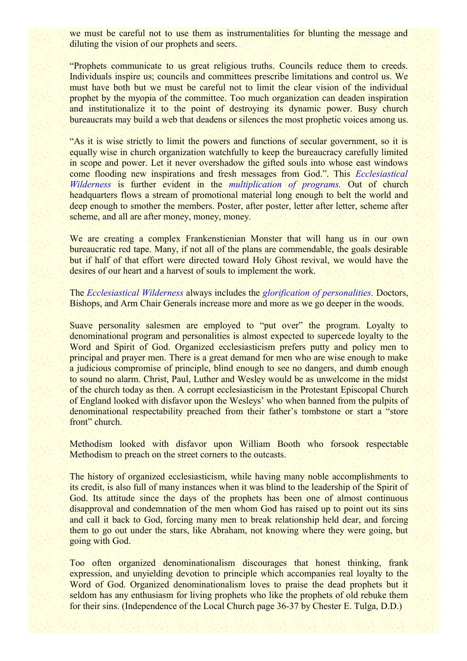we must be careful not to use them as instrumentalities for blunting the message and diluting the vision of our prophets and seers.

"Prophets communicate to us great religious truths. Councils reduce them to creeds. Individuals inspire us; councils and committees prescribe limitations and control us. We must have both but we must be careful not to limit the clear vision of the individual prophet by the myopia of the committee. Too much organization can deaden inspiration and institutionalize it to the point of destroying its dynamic power. Busy church bureaucrats may build a web that deadens or silences the most prophetic voices among us.

"As it is wise strictly to limit the powers and functions of secular government, so it is equally wise in church organization watchfully to keep the bureaucracy carefully limited in scope and power. Let it never overshadow the gifted souls into whose east windows come flooding new inspirations and fresh messages from God.". This *Ecclesiastical Wilderness* is further evident in the *multiplication of programs.* Out of church headquarters flows a stream of promotional material long enough to belt the world and deep enough to smother the members. Poster, after poster, letter after letter, scheme after scheme, and all are after money, money, money.

We are creating a complex Frankenstienian Monster that will hang us in our own bureaucratic red tape. Many, if not all of the plans are commendable, the goals desirable but if half of that effort were directed toward Holy Ghost revival, we would have the desires of our heart and a harvest of souls to implement the work.

The *Ecclesiastical Wilderness* always includes the *glorification of personalities.* Doctors, Bishops, and Arm Chair Generals increase more and more as we go deeper in the woods.

Suave personality salesmen are employed to "put over" the program. Loyalty to denominational program and personalities is almost expected to supercede loyalty to the Word and Spirit of God. Organized ecclesiasticism prefers putty and policy men to principal and prayer men. There is a great demand for men who are wise enough to make a judicious compromise of principle, blind enough to see no dangers, and dumb enough to sound no alarm. Christ, Paul, Luther and Wesley would be as unwelcome in the midst of the church today as then. A corrupt ecclesiasticism in the Protestant Episcopal Church of England looked with disfavor upon the Wesleys' who when banned from the pulpits of denominational respectability preached from their father's tombstone or start a "store front" church.

Methodism looked with disfavor upon William Booth who forsook respectable Methodism to preach on the street corners to the outcasts.

The history of organized ecclesiasticism, while having many noble accomplishments to its credit, is also full of many instances when it was blind to the leadership of the Spirit of God. Its attitude since the days of the prophets has been one of almost continuous disapproval and condemnation of the men whom God has raised up to point out its sins and call it back to God, forcing many men to break relationship held dear, and forcing them to go out under the stars, like Abraham, not knowing where they were going, but going with God.

Too often organized denominationalism discourages that honest thinking, frank expression, and unyielding devotion to principle which accompanies real loyalty to the Word of God. Organized denominationalism loves to praise the dead prophets but it seldom has any enthusiasm for living prophets who like the prophets of old rebuke them for their sins. (Independence of the Local Church page 36-37 by Chester E. Tulga, D.D.)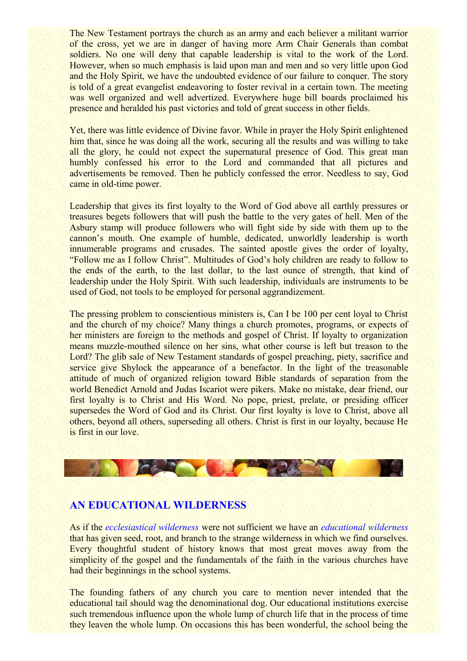The New Testament portrays the church as an army and each believer a militant warrior of the cross, yet we are in danger of having more Arm Chair Generals than combat soldiers. No one will deny that capable leadership is vital to the work of the Lord. However, when so much emphasis is laid upon man and men and so very little upon God and the Holy Spirit, we have the undoubted evidence of our failure to conquer. The story is told of a great evangelist endeavoring to foster revival in a certain town. The meeting was well organized and well advertized. Everywhere huge bill boards proclaimed his presence and heralded his past victories and told of great success in other fields.

Yet, there was little evidence of Divine favor. While in prayer the Holy Spirit enlightened him that, since he was doing all the work, securing all the results and was willing to take all the glory, he could not expect the supernatural presence of God. This great man humbly confessed his error to the Lord and commanded that all pictures and advertisements be removed. Then he publicly confessed the error. Needless to say, God came in old-time power.

Leadership that gives its first loyalty to the Word of God above all earthly pressures or treasures begets followers that will push the battle to the very gates of hell. Men of the Asbury stamp will produce followers who will fight side by side with them up to the cannon's mouth. One example of humble, dedicated, unworldly leadership is worth innumerable programs and crusades. The sainted apostle gives the order of loyalty, "Follow me as I follow Christ". Multitudes of God's holy children are ready to follow to the ends of the earth, to the last dollar, to the last ounce of strength, that kind of leadership under the Holy Spirit. With such leadership, individuals are instruments to be used of God, not tools to be employed for personal aggrandizement.

The pressing problem to conscientious ministers is, Can I be 100 per cent loyal to Christ and the church of my choice? Many things a church promotes, programs, or expects of her ministers are foreign to the methods and gospel of Christ. If loyalty to organization means muzzle-mouthed silence on her sins, what other course is left but treason to the Lord? The glib sale of New Testament standards of gospel preaching, piety, sacrifice and service give Shylock the appearance of a benefactor. In the light of the treasonable attitude of much of organized religion toward Bible standards of separation from the world Benedict Arnold and Judas Iscariot were pikers. Make no mistake, dear friend, our first loyalty is to Christ and His Word. No pope, priest, prelate, or presiding officer supersedes the Word of God and its Christ. Our first loyalty is love to Christ, above all others, beyond all others, superseding all others. Christ is first in our loyalty, because He is first in our love.



## **AN EDUCATIONAL WILDERNESS**

As if the *ecclesiastical wilderness* were not sufficient we have an *educational wilderness* that has given seed, root, and branch to the strange wilderness in which we find ourselves. Every thoughtful student of history knows that most great moves away from the simplicity of the gospel and the fundamentals of the faith in the various churches have had their beginnings in the school systems.

The founding fathers of any church you care to mention never intended that the educational tail should wag the denominational dog. Our educational institutions exercise such tremendous influence upon the whole lump of church life that in the process of time they leaven the whole lump. On occasions this has been wonderful, the school being the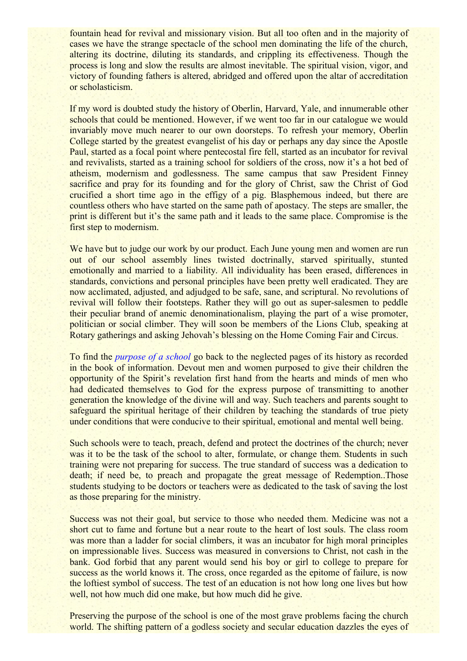fountain head for revival and missionary vision. But all too often and in the majority of cases we have the strange spectacle of the school men dominating the life of the church, altering its doctrine, diluting its standards, and crippling its effectiveness. Though the process is long and slow the results are almost inevitable. The spiritual vision, vigor, and victory of founding fathers is altered, abridged and offered upon the altar of accreditation or scholasticism.

If my word is doubted study the history of Oberlin, Harvard, Yale, and innumerable other schools that could be mentioned. However, if we went too far in our catalogue we would invariably move much nearer to our own doorsteps. To refresh your memory, Oberlin College started by the greatest evangelist of his day or perhaps any day since the Apostle Paul, started as a focal point where pentecostal fire fell, started as an incubator for revival and revivalists, started as a training school for soldiers of the cross, now it's a hot bed of atheism, modernism and godlessness. The same campus that saw President Finney sacrifice and pray for its founding and for the glory of Christ, saw the Christ of God crucified a short time ago in the effigy of a pig. Blasphemous indeed, but there are countless others who have started on the same path of apostacy. The steps are smaller, the print is different but it's the same path and it leads to the same place. Compromise is the first step to modernism.

We have but to judge our work by our product. Each June young men and women are run out of our school assembly lines twisted doctrinally, starved spiritually, stunted emotionally and married to a liability. All individuality has been erased, differences in standards, convictions and personal principles have been pretty well eradicated. They are now acclimated, adjusted, and adjudged to be safe, sane, and scriptural. No revolutions of revival will follow their footsteps. Rather they will go out as super-salesmen to peddle their peculiar brand of anemic denominationalism, playing the part of a wise promoter, politician or social climber. They will soon be members of the Lions Club, speaking at Rotary gatherings and asking Jehovah's blessing on the Home Coming Fair and Circus.

To find the *purpose of a school* go back to the neglected pages of its history as recorded in the book of information. Devout men and women purposed to give their children the opportunity of the Spirit's revelation first hand from the hearts and minds of men who had dedicated themselves to God for the express purpose of transmitting to another generation the knowledge of the divine will and way. Such teachers and parents sought to safeguard the spiritual heritage of their children by teaching the standards of true piety under conditions that were conducive to their spiritual, emotional and mental well being.

Such schools were to teach, preach, defend and protect the doctrines of the church; never was it to be the task of the school to alter, formulate, or change them. Students in such training were not preparing for success. The true standard of success was a dedication to death; if need be, to preach and propagate the great message of Redemption..Those students studying to be doctors or teachers were as dedicated to the task of saving the lost as those preparing for the ministry.

Success was not their goal, but service to those who needed them. Medicine was not a short cut to fame and fortune but a near route to the heart of lost souls. The class room was more than a ladder for social climbers, it was an incubator for high moral principles on impressionable lives. Success was measured in conversions to Christ, not cash in the bank. God forbid that any parent would send his boy or girl to college to prepare for success as the world knows it. The cross, once regarded as the epitome of failure, is now the loftiest symbol of success. The test of an education is not how long one lives but how well, not how much did one make, but how much did he give.

Preserving the purpose of the school is one of the most grave problems facing the church world. The shifting pattern of a godless society and secular education dazzles the eyes of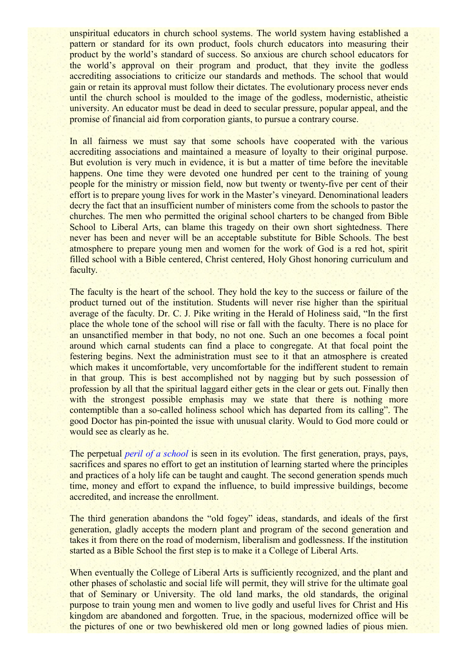unspiritual educators in church school systems. The world system having established a pattern or standard for its own product, fools church educators into measuring their product by the world's standard of success. So anxious are church school educators for the world's approval on their program and product, that they invite the godless accrediting associations to criticize our standards and methods. The school that would gain or retain its approval must follow their dictates. The evolutionary process never ends until the church school is moulded to the image of the godless, modernistic, atheistic university. An educator must be dead in deed to secular pressure, popular appeal, and the promise of financial aid from corporation giants, to pursue a contrary course.

In all fairness we must say that some schools have cooperated with the various accrediting associations and maintained a measure of loyalty to their original purpose. But evolution is very much in evidence, it is but a matter of time before the inevitable happens. One time they were devoted one hundred per cent to the training of young people for the ministry or mission field, now but twenty or twenty-five per cent of their effort is to prepare young lives for work in the Master's vineyard. Denominational leaders decry the fact that an insufficient number of ministers come from the schools to pastor the churches. The men who permitted the original school charters to be changed from Bible School to Liberal Arts, can blame this tragedy on their own short sightedness. There never has been and never will be an acceptable substitute for Bible Schools. The best atmosphere to prepare young men and women for the work of God is a red hot, spirit filled school with a Bible centered, Christ centered, Holy Ghost honoring curriculum and faculty.

The faculty is the heart of the school. They hold the key to the success or failure of the product turned out of the institution. Students will never rise higher than the spiritual average of the faculty. Dr. C. J. Pike writing in the Herald of Holiness said, "In the first place the whole tone of the school will rise or fall with the faculty. There is no place for an unsanctified member in that body, no not one. Such an one becomes a focal point around which carnal students can find a place to congregate. At that focal point the festering begins. Next the administration must see to it that an atmosphere is created which makes it uncomfortable, very uncomfortable for the indifferent student to remain in that group. This is best accomplished not by nagging but by such possession of profession by all that the spiritual laggard either gets in the clear or gets out. Finally then with the strongest possible emphasis may we state that there is nothing more contemptible than a so-called holiness school which has departed from its calling". The good Doctor has pin-pointed the issue with unusual clarity. Would to God more could or would see as clearly as he.

The perpetual *peril of a school* is seen in its evolution. The first generation, prays, pays, sacrifices and spares no effort to get an institution of learning started where the principles and practices of a holy life can be taught and caught. The second generation spends much time, money and effort to expand the influence, to build impressive buildings, become accredited, and increase the enrollment.

The third generation abandons the "old fogey" ideas, standards, and ideals of the first generation, gladly accepts the modern plant and program of the second generation and takes it from there on the road of modernism, liberalism and godlessness. If the institution started as a Bible School the first step is to make it a College of Liberal Arts.

When eventually the College of Liberal Arts is sufficiently recognized, and the plant and other phases of scholastic and social life will permit, they will strive for the ultimate goal that of Seminary or University. The old land marks, the old standards, the original purpose to train young men and women to live godly and useful lives for Christ and His kingdom are abandoned and forgotten. True, in the spacious, modernized office will be the pictures of one or two bewhiskered old men or long gowned ladies of pious mien.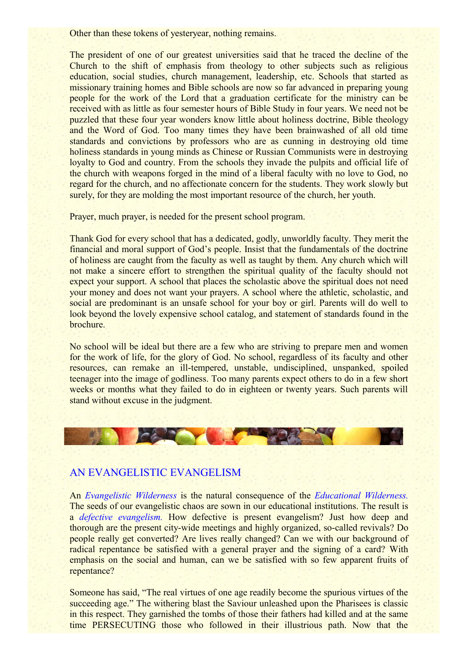Other than these tokens of yesteryear, nothing remains.

The president of one of our greatest universities said that he traced the decline of the Church to the shift of emphasis from theology to other subjects such as religious education, social studies, church management, leadership, etc. Schools that started as missionary training homes and Bible schools are now so far advanced in preparing young people for the work of the Lord that a graduation certificate for the ministry can be received with as little as four semester hours of Bible Study in four years. We need not be puzzled that these four year wonders know little about holiness doctrine, Bible theology and the Word of God. Too many times they have been brainwashed of all old time standards and convictions by professors who are as cunning in destroying old time holiness standards in young minds as Chinese or Russian Communists were in destroying loyalty to God and country. From the schools they invade the pulpits and official life of the church with weapons forged in the mind of a liberal faculty with no love to God, no regard for the church, and no affectionate concern for the students. They work slowly but surely, for they are molding the most important resource of the church, her youth.

Prayer, much prayer, is needed for the present school program.

Thank God for every school that has a dedicated, godly, unworldly faculty. They merit the financial and moral support of God's people. Insist that the fundamentals of the doctrine of holiness are caught from the faculty as well as taught by them. Any church which will not make a sincere effort to strengthen the spiritual quality of the faculty should not expect your support. A school that places the scholastic above the spiritual does not need your money and does not want your prayers. A school where the athletic, scholastic, and social are predominant is an unsafe school for your boy or girl. Parents will do well to look beyond the lovely expensive school catalog, and statement of standards found in the brochure.

No school will be ideal but there are a few who are striving to prepare men and women for the work of life, for the glory of God. No school, regardless of its faculty and other resources, can remake an ill-tempered, unstable, undisciplined, unspanked, spoiled teenager into the image of godliness. Too many parents expect others to do in a few short weeks or months what they failed to do in eighteen or twenty years. Such parents will stand without excuse in the judgment.



## AN EVANGELISTIC EVANGELISM

An *Evangelistic Wilderness* is the natural consequence of the *Educational Wilderness.* The seeds of our evangelistic chaos are sown in our educational institutions. The result is a *defective evangelism.* How defective is present evangelism? Just how deep and thorough are the present city-wide meetings and highly organized, so-called revivals? Do people really get converted? Are lives really changed? Can we with our background of radical repentance be satisfied with a general prayer and the signing of a card? With emphasis on the social and human, can we be satisfied with so few apparent fruits of repentance?

Someone has said, "The real virtues of one age readily become the spurious virtues of the succeeding age." The withering blast the Saviour unleashed upon the Pharisees is classic in this respect. They garnished the tombs of those their fathers had killed and at the same time PERSECUTING those who followed in their illustrious path. Now that the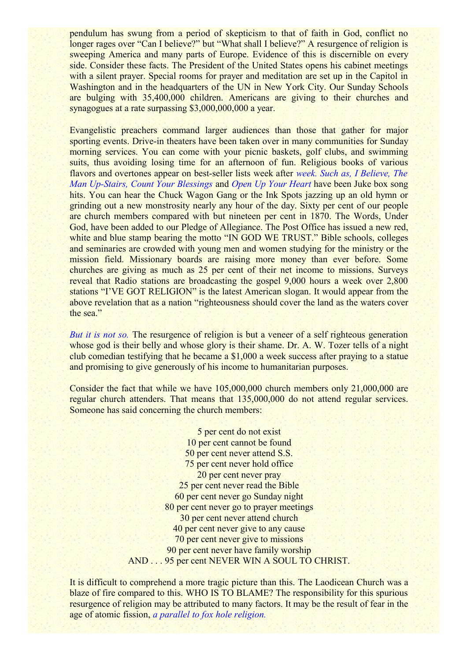pendulum has swung from a period of skepticism to that of faith in God, conflict no longer rages over "Can I believe?" but "What shall I believe?" A resurgence of religion is sweeping America and many parts of Europe. Evidence of this is discernible on every side. Consider these facts. The President of the United States opens his cabinet meetings with a silent prayer. Special rooms for prayer and meditation are set up in the Capitol in Washington and in the headquarters of the UN in New York City. Our Sunday Schools are bulging with 35,400,000 children. Americans are giving to their churches and synagogues at a rate surpassing \$3,000,000,000 a year.

Evangelistic preachers command larger audiences than those that gather for major sporting events. Drive-in theaters have been taken over in many communities for Sunday morning services. You can come with your picnic baskets, golf clubs, and swimming suits, thus avoiding losing time for an afternoon of fun. Religious books of various flavors and overtones appear on best-seller lists week after *week. Such as, I Believe, The Man Up-Stairs, Count Your Blessings* and *Open Up Your Heart* have been Juke box song hits. You can hear the Chuck Wagon Gang or the Ink Spots jazzing up an old hymn or grinding out a new monstrosity nearly any hour of the day. Sixty per cent of our people are church members compared with but nineteen per cent in 1870. The Words, Under God, have been added to our Pledge of Allegiance. The Post Office has issued a new red, white and blue stamp bearing the motto "IN GOD WE TRUST." Bible schools, colleges and seminaries are crowded with young men and women studying for the ministry or the mission field. Missionary boards are raising more money than ever before. Some churches are giving as much as 25 per cent of their net income to missions. Surveys reveal that Radio stations are broadcasting the gospel 9,000 hours a week over 2,800 stations "I'VE GOT RELIGION" is the latest American slogan. It would appear from the above revelation that as a nation "righteousness should cover the land as the waters cover the sea."

*But it is not so.* The resurgence of religion is but a veneer of a self righteous generation whose god is their belly and whose glory is their shame. Dr. A. W. Tozer tells of a night club comedian testifying that he became a \$1,000 a week success after praying to a statue and promising to give generously of his income to humanitarian purposes.

Consider the fact that while we have 105,000,000 church members only 21,000,000 are regular church attenders. That means that 135,000,000 do not attend regular services. Someone has said concerning the church members:

> 5 per cent do not exist 10 per cent cannot be found 50 per cent never attend S.S. 75 per cent never hold office 20 per cent never pray 25 per cent never read the Bible 60 per cent never go Sunday night 80 per cent never go to prayer meetings 30 per cent never attend church 40 per cent never give to any cause 70 per cent never give to missions 90 per cent never have family worship AND . . . 95 per cent NEVER WIN A SOUL TO CHRIST.

It is difficult to comprehend a more tragic picture than this. The Laodicean Church was a blaze of fire compared to this. WHO IS TO BLAME? The responsibility for this spurious resurgence of religion may be attributed to many factors. It may be the result of fear in the age of atomic fission, *a parallel to fox hole religion.*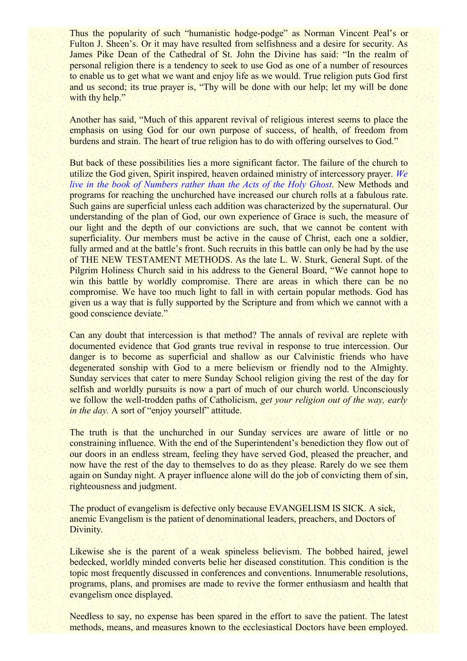Thus the popularity of such "humanistic hodge-podge" as Norman Vincent Peal's or Fulton J. Sheen's. Or it may have resulted from selfishness and a desire for security. As James Pike Dean of the Cathedral of St. John the Divine has said: "In the realm of personal religion there is a tendency to seek to use God as one of a number of resources to enable us to get what we want and enjoy life as we would. True religion puts God first and us second; its true prayer is, "Thy will be done with our help; let my will be done with thy help."

Another has said, "Much of this apparent revival of religious interest seems to place the emphasis on using God for our own purpose of success, of health, of freedom from burdens and strain. The heart of true religion has to do with offering ourselves to God."

But back of these possibilities lies a more significant factor. The failure of the church to utilize the God given, Spirit inspired, heaven ordained ministry of intercessory prayer. *We live in the book of Numbers rather than the Acts of the Holy Ghost.* New Methods and programs for reaching the unchurched have increased our church rolls at a fabulous rate. Such gains are superficial unless each addition was characterized by the supernatural. Our understanding of the plan of God, our own experience of Grace is such, the measure of our light and the depth of our convictions are such, that we cannot be content with superficiality. Our members must be active in the cause of Christ, each one a soldier, fully armed and at the battle's front. Such recruits in this battle can only be had by the use of THE NEW TESTAMENT METHODS. As the late L. W. Sturk, General Supt. of the Pilgrim Holiness Church said in his address to the General Board, "We cannot hope to win this battle by worldly compromise. There are areas in which there can be no compromise. We have too much light to fall in with certain popular methods. God has given us a way that is fully supported by the Scripture and from which we cannot with a good conscience deviate."

Can any doubt that intercession is that method? The annals of revival are replete with documented evidence that God grants true revival in response to true intercession. Our danger is to become as superficial and shallow as our Calvinistic friends who have degenerated sonship with God to a mere believism or friendly nod to the Almighty. Sunday services that cater to mere Sunday School religion giving the rest of the day for selfish and worldly pursuits is now a part of much of our church world. Unconsciously we follow the well-trodden paths of Catholicism, *get your religion out of the way, early in the day.* A sort of "enjoy yourself" attitude.

The truth is that the unchurched in our Sunday services are aware of little or no constraining influence. With the end of the Superintendent's benediction they flow out of our doors in an endless stream, feeling they have served God, pleased the preacher, and now have the rest of the day to themselves to do as they please. Rarely do we see them again on Sunday night. A prayer influence alone will do the job of convicting them of sin, righteousness and judgment.

The product of evangelism is defective only because EVANGELISM IS SICK. A sick, anemic Evangelism is the patient of denominational leaders, preachers, and Doctors of Divinity.

Likewise she is the parent of a weak spineless believism. The bobbed haired, jewel bedecked, worldly minded converts belie her diseased constitution. This condition is the topic most frequently discussed in conferences and conventions. Innumerable resolutions, programs, plans, and promises are made to revive the former enthusiasm and health that evangelism once displayed.

Needless to say, no expense has been spared in the effort to save the patient. The latest methods, means, and measures known to the ecclesiastical Doctors have been employed.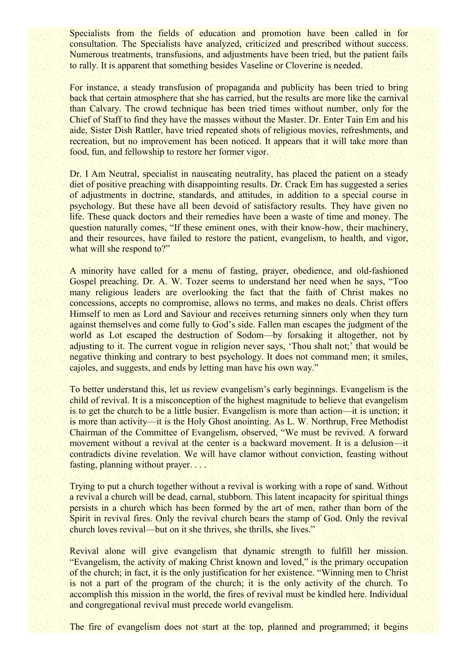Specialists from the fields of education and promotion have been called in for consultation. The Specialists have analyzed, criticized and prescribed without success. Numerous treatments, transfusions, and adjustments have been tried, but the patient fails to rally. It is apparent that something besides Vaseline or Cloverine is needed.

For instance, a steady transfusion of propaganda and publicity has been tried to bring back that certain atmosphere that she has carried, but the results are more like the carnival than Calvary. The crowd technique has been tried times without number, only for the Chief of Staff to find they have the masses without the Master. Dr. Enter Tain Em and his aide, Sister Dish Rattler, have tried repeated shots of religious movies, refreshments, and recreation, but no improvement has been noticed. It appears that it will take more than food, fun, and fellowship to restore her former vigor.

Dr. I Am Neutral, specialist in nauseating neutrality, has placed the patient on a steady diet of positive preaching with disappointing results. Dr. Crack Em has suggested a series of adjustments in doctrine, standards, and attitudes, in addition to a special course in psychology. But these have all been devoid of satisfactory results. They have given no life. These quack doctors and their remedies have been a waste of time and money. The question naturally comes, "If these eminent ones, with their know-how, their machinery, and their resources, have failed to restore the patient, evangelism, to health, and vigor, what will she respond to?"

A minority have called for a menu of fasting, prayer, obedience, and old-fashioned Gospel preaching. Dr. A. W. Tozer seems to understand her need when he says, "Too many religious leaders are overlooking the fact that the faith of Christ makes no concessions, accepts no compromise, allows no terms, and makes no deals. Christ offers Himself to men as Lord and Saviour and receives returning sinners only when they turn against themselves and come fully to God's side. Fallen man escapes the judgment of the world as Lot escaped the destruction of Sodom—by forsaking it altogether, not by adjusting to it. The current vogue in religion never says, 'Thou shalt not;' that would be negative thinking and contrary to best psychology. It does not command men; it smiles, cajoles, and suggests, and ends by letting man have his own way."

To better understand this, let us review evangelism's early beginnings. Evangelism is the child of revival. It is a misconception of the highest magnitude to believe that evangelism is to get the church to be a little busier. Evangelism is more than action—it is unction; it is more than activity—it is the Holy Ghost anointing. As L. W. Northrup, Free Methodist Chairman of the Committee of Evangelism, observed, "We must be revived. A forward movement without a revival at the center is a backward movement. It is a delusion—it contradicts divine revelation. We will have clamor without conviction, feasting without fasting, planning without prayer. . . .

Trying to put a church together without a revival is working with a rope of sand. Without a revival a church will be dead, carnal, stubborn. This latent incapacity for spiritual things persists in a church which has been formed by the art of men, rather than born of the Spirit in revival fires. Only the revival church bears the stamp of God. Only the revival church loves revival—but on it she thrives, she thrills, she lives."

Revival alone will give evangelism that dynamic strength to fulfill her mission. "Evangelism, the activity of making Christ known and loved," is the primary occupation of the church; in fact, it is the only justification for her existence. "Winning men to Christ is not a part of the program of the church; it is the only activity of the church. To accomplish this mission in the world, the fires of revival must be kindled here. Individual and congregational revival must precede world evangelism.

The fire of evangelism does not start at the top, planned and programmed; it begins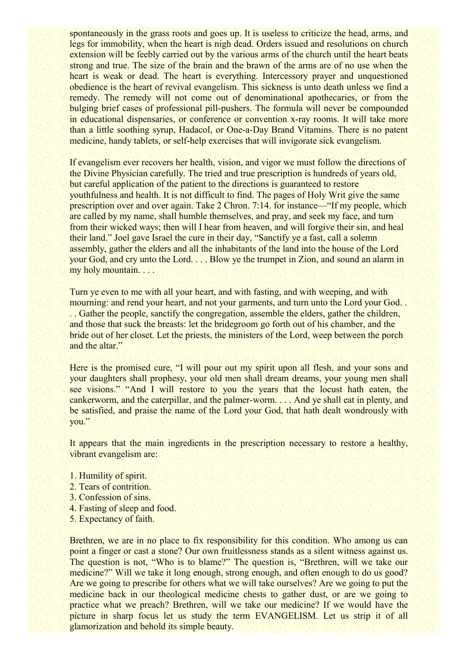spontaneously in the grass roots and goes up. It is useless to criticize the head, arms, and legs for immobility, when the heart is nigh dead. Orders issued and resolutions on church extension will be feebly carried out by the various arms of the church until the heart beats strong and true. The size of the brain and the brawn of the arms are of no use when the heart is weak or dead. The heart is everything. Intercessory prayer and unquestioned obedience is the heart of revival evangelism. This sickness is unto death unless we find a remedy. The remedy will not come out of denominational apothecaries, or from the bulging brief cases of professional pill-pushers. The formula will never be compounded in educational dispensaries, or conference or convention x-ray rooms. It will take more than a little soothing syrup, Hadacol, or One-a-Day Brand Vitamins. There is no patent medicine, handy tablets, or self-help exercises that will invigorate sick evangelism.

If evangelism ever recovers her health, vision, and vigor we must follow the directions of the Divine Physician carefully. The tried and true prescription is hundreds of years old, but careful application of the patient to the directions is guaranteed to restore youthfulness and health. It is not difficult to find. The pages of Holy Writ give the same prescription over and over again. Take 2 Chron. 7:14. for instance—"If my people, which are called by my name, shall humble themselves, and pray, and seek my face, and turn from their wicked ways; then will I hear from heaven, and will forgive their sin, and heal their land." Joel gave Israel the cure in their day, "Sanctify ye a fast, call a solemn assembly, gather the elders and all the inhabitants of the land into the house of the Lord your God, and cry unto the Lord. . . . Blow ye the trumpet in Zion, and sound an alarm in my holy mountain. . . .

Turn ye even to me with all your heart, and with fasting, and with weeping, and with mourning: and rend your heart, and not your garments, and turn unto the Lord your God. . . . Gather the people, sanctify the congregation, assemble the elders, gather the children, and those that suck the breasts: let the bridegroom go forth out of his chamber, and the bride out of her closet. Let the priests, the ministers of the Lord, weep between the porch and the altar."

Here is the promised cure, "I will pour out my spirit upon all flesh, and your sons and your daughters shall prophesy, your old men shall dream dreams, your young men shall see visions." "And I will restore to you the years that the locust hath eaten, the cankerworm, and the caterpillar, and the palmer-worm. . . . And ye shall eat in plenty, and be satisfied, and praise the name of the Lord your God, that hath dealt wondrously with you."

It appears that the main ingredients in the prescription necessary to restore a healthy, vibrant evangelism are:

- 1. Humility of spirit.
- 2. Tears of contrition.
- 3. Confession of sins.
- 4. Fasting of sleep and food.
- 5. Expectancy of faith.

Brethren, we are in no place to fix responsibility for this condition. Who among us can point a finger or cast a stone? Our own fruitlessness stands as a silent witness against us. The question is not, "Who is to blame?" The question is, "Brethren, will we take our medicine?" Will we take it long enough, strong enough, and often enough to do us good? Are we going to prescribe for others what we will take ourselves? Are we going to put the medicine back in our theological medicine chests to gather dust, or are we going to practice what we preach? Brethren, will we take our medicine? If we would have the picture in sharp focus let us study the term EVANGELISM. Let us strip it of all glamorization and behold its simple beauty.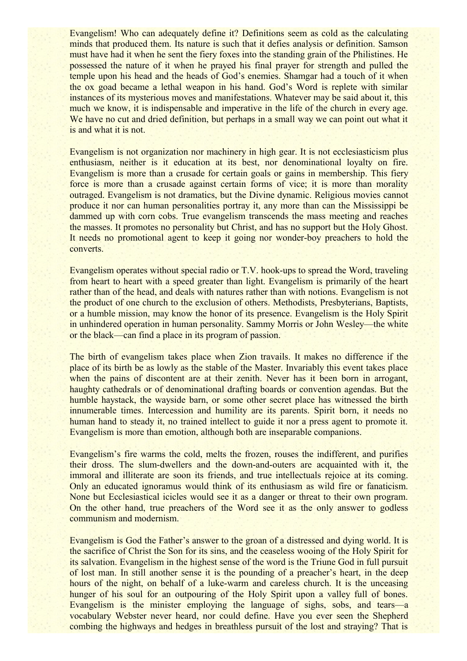Evangelism! Who can adequately define it? Definitions seem as cold as the calculating minds that produced them. Its nature is such that it defies analysis or definition. Samson must have had it when he sent the fiery foxes into the standing grain of the Philistines. He possessed the nature of it when he prayed his final prayer for strength and pulled the temple upon his head and the heads of God's enemies. Shamgar had a touch of it when the ox goad became a lethal weapon in his hand. God's Word is replete with similar instances of its mysterious moves and manifestations. Whatever may be said about it, this much we know, it is indispensable and imperative in the life of the church in every age. We have no cut and dried definition, but perhaps in a small way we can point out what it is and what it is not.

Evangelism is not organization nor machinery in high gear. It is not ecclesiasticism plus enthusiasm, neither is it education at its best, nor denominational loyalty on fire. Evangelism is more than a crusade for certain goals or gains in membership. This fiery force is more than a crusade against certain forms of vice; it is more than morality outraged. Evangelism is not dramatics, but the Divine dynamic. Religious movies cannot produce it nor can human personalities portray it, any more than can the Mississippi be dammed up with corn cobs. True evangelism transcends the mass meeting and reaches the masses. It promotes no personality but Christ, and has no support but the Holy Ghost. It needs no promotional agent to keep it going nor wonder-boy preachers to hold the converts.

Evangelism operates without special radio or T.V. hook-ups to spread the Word, traveling from heart to heart with a speed greater than light. Evangelism is primarily of the heart rather than of the head, and deals with natures rather than with notions. Evangelism is not the product of one church to the exclusion of others. Methodists, Presbyterians, Baptists, or a humble mission, may know the honor of its presence. Evangelism is the Holy Spirit in unhindered operation in human personality. Sammy Morris or John Wesley—the white or the black—can find a place in its program of passion.

The birth of evangelism takes place when Zion travails. It makes no difference if the place of its birth be as lowly as the stable of the Master. Invariably this event takes place when the pains of discontent are at their zenith. Never has it been born in arrogant, haughty cathedrals or of denominational drafting boards or convention agendas. But the humble haystack, the wayside barn, or some other secret place has witnessed the birth innumerable times. Intercession and humility are its parents. Spirit born, it needs no human hand to steady it, no trained intellect to guide it nor a press agent to promote it. Evangelism is more than emotion, although both are inseparable companions.

Evangelism's fire warms the cold, melts the frozen, rouses the indifferent, and purifies their dross. The slum-dwellers and the down-and-outers are acquainted with it, the immoral and illiterate are soon its friends, and true intellectuals rejoice at its coming. Only an educated ignoramus would think of its enthusiasm as wild fire or fanaticism. None but Ecclesiastical icicles would see it as a danger or threat to their own program. On the other hand, true preachers of the Word see it as the only answer to godless communism and modernism.

Evangelism is God the Father's answer to the groan of a distressed and dying world. It is the sacrifice of Christ the Son for its sins, and the ceaseless wooing of the Holy Spirit for its salvation. Evangelism in the highest sense of the word is the Triune God in full pursuit of lost man. In still another sense it is the pounding of a preacher's heart, in the deep hours of the night, on behalf of a luke-warm and careless church. It is the unceasing hunger of his soul for an outpouring of the Holy Spirit upon a valley full of bones. Evangelism is the minister employing the language of sighs, sobs, and tears—a vocabulary Webster never heard, nor could define. Have you ever seen the Shepherd combing the highways and hedges in breathless pursuit of the lost and straying? That is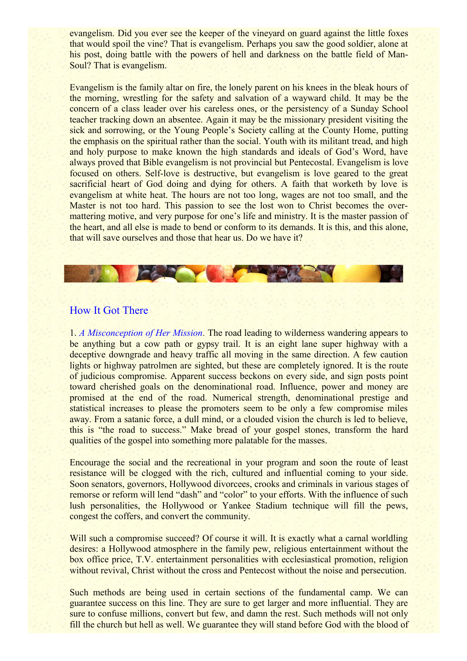evangelism. Did you ever see the keeper of the vineyard on guard against the little foxes that would spoil the vine? That is evangelism. Perhaps you saw the good soldier, alone at his post, doing battle with the powers of hell and darkness on the battle field of Man-Soul? That is evangelism.

Evangelism is the family altar on fire, the lonely parent on his knees in the bleak hours of the morning, wrestling for the safety and salvation of a wayward child. It may be the concern of a class leader over his careless ones, or the persistency of a Sunday School teacher tracking down an absentee. Again it may be the missionary president visiting the sick and sorrowing, or the Young People's Society calling at the County Home, putting the emphasis on the spiritual rather than the social. Youth with its militant tread, and high and holy purpose to make known the high standards and ideals of God's Word, have always proved that Bible evangelism is not provincial but Pentecostal. Evangelism is love focused on others. Self-love is destructive, but evangelism is love geared to the great sacrificial heart of God doing and dying for others. A faith that worketh by love is evangelism at white heat. The hours are not too long, wages are not too small, and the Master is not too hard. This passion to see the lost won to Christ becomes the overmattering motive, and very purpose for one's life and ministry. It is the master passion of the heart, and all else is made to bend or conform to its demands. It is this, and this alone, that will save ourselves and those that hear us. Do we have it?

**CAR OF WILL** 

## How It Got There

1. *A Misconception of Her Mission.* The road leading to wilderness wandering appears to be anything but a cow path or gypsy trail. It is an eight lane super highway with a deceptive downgrade and heavy traffic all moving in the same direction. A few caution lights or highway patrolmen are sighted, but these are completely ignored. It is the route of judicious compromise. Apparent success beckons on every side, and sign posts point toward cherished goals on the denominational road. Influence, power and money are promised at the end of the road. Numerical strength, denominational prestige and statistical increases to please the promoters seem to be only a few compromise miles away. From a satanic force, a dull mind, or a clouded vision the church is led to believe, this is "the road to success." Make bread of your gospel stones, transform the hard qualities of the gospel into something more palatable for the masses.

Encourage the social and the recreational in your program and soon the route of least resistance will be clogged with the rich, cultured and influential coming to your side. Soon senators, governors, Hollywood divorcees, crooks and criminals in various stages of remorse or reform will lend "dash" and "color" to your efforts. With the influence of such lush personalities, the Hollywood or Yankee Stadium technique will fill the pews, congest the coffers, and convert the community.

Will such a compromise succeed? Of course it will. It is exactly what a carnal worldling desires: a Hollywood atmosphere in the family pew, religious entertainment without the box office price, T.V. entertainment personalities with ecclesiastical promotion, religion without revival, Christ without the cross and Pentecost without the noise and persecution.

Such methods are being used in certain sections of the fundamental camp. We can guarantee success on this line. They are sure to get larger and more influential. They are sure to confuse millions, convert but few, and damn the rest. Such methods will not only fill the church but hell as well. We guarantee they will stand before God with the blood of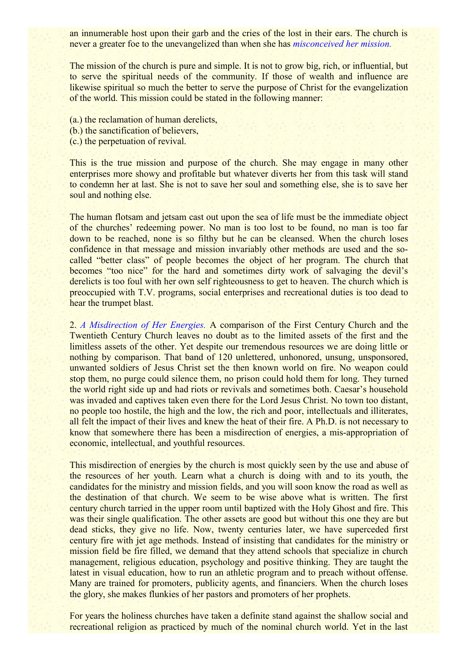an innumerable host upon their garb and the cries of the lost in their ears. The church is never a greater foe to the unevangelized than when she has *misconceived her mission.*

The mission of the church is pure and simple. It is not to grow big, rich, or influential, but to serve the spiritual needs of the community. If those of wealth and influence are likewise spiritual so much the better to serve the purpose of Christ for the evangelization of the world. This mission could be stated in the following manner:

(a.) the reclamation of human derelicts,

- (b.) the sanctification of believers,
- (c.) the perpetuation of revival.

This is the true mission and purpose of the church. She may engage in many other enterprises more showy and profitable but whatever diverts her from this task will stand to condemn her at last. She is not to save her soul and something else, she is to save her soul and nothing else.

The human flotsam and jetsam cast out upon the sea of life must be the immediate object of the churches' redeeming power. No man is too lost to be found, no man is too far down to be reached, none is so filthy but he can be cleansed. When the church loses confidence in that message and mission invariably other methods are used and the socalled "better class" of people becomes the object of her program. The church that becomes "too nice" for the hard and sometimes dirty work of salvaging the devil's derelicts is too foul with her own self righteousness to get to heaven. The church which is preoccupied with T.V. programs, social enterprises and recreational duties is too dead to hear the trumpet blast.

2. *A Misdirection of Her Energies.* A comparison of the First Century Church and the Twentieth Century Church leaves no doubt as to the limited assets of the first and the limitless assets of the other. Yet despite our tremendous resources we are doing little or nothing by comparison. That band of 120 unlettered, unhonored, unsung, unsponsored, unwanted soldiers of Jesus Christ set the then known world on fire. No weapon could stop them, no purge could silence them, no prison could hold them for long. They turned the world right side up and had riots or revivals and sometimes both. Caesar's household was invaded and captives taken even there for the Lord Jesus Christ. No town too distant, no people too hostile, the high and the low, the rich and poor, intellectuals and illiterates, all felt the impact of their lives and knew the heat of their fire. A Ph.D. is not necessary to know that somewhere there has been a misdirection of energies, a mis-appropriation of economic, intellectual, and youthful resources.

This misdirection of energies by the church is most quickly seen by the use and abuse of the resources of her youth. Learn what a church is doing with and to its youth, the candidates for the ministry and mission fields, and you will soon know the road as well as the destination of that church. We seem to be wise above what is written. The first century church tarried in the upper room until baptized with the Holy Ghost and fire. This was their single qualification. The other assets are good but without this one they are but dead sticks, they give no life. Now, twenty centuries later, we have superceded first century fire with jet age methods. Instead of insisting that candidates for the ministry or mission field be fire filled, we demand that they attend schools that specialize in church management, religious education, psychology and positive thinking. They are taught the latest in visual education, how to run an athletic program and to preach without offense. Many are trained for promoters, publicity agents, and financiers. When the church loses the glory, she makes flunkies of her pastors and promoters of her prophets.

For years the holiness churches have taken a definite stand against the shallow social and recreational religion as practiced by much of the nominal church world. Yet in the last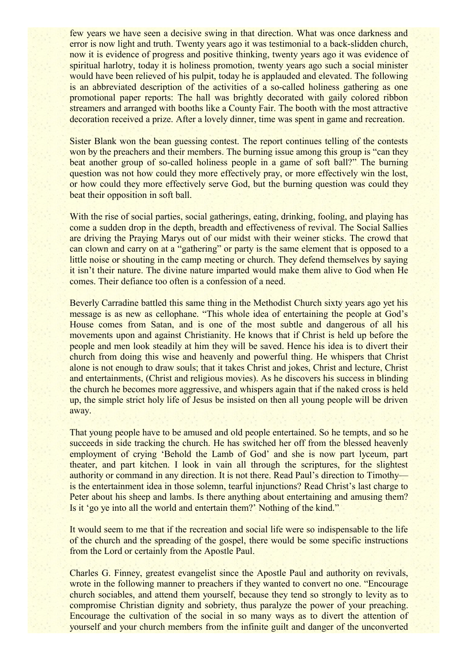few years we have seen a decisive swing in that direction. What was once darkness and error is now light and truth. Twenty years ago it was testimonial to a back-slidden church, now it is evidence of progress and positive thinking, twenty years ago it was evidence of spiritual harlotry, today it is holiness promotion, twenty years ago such a social minister would have been relieved of his pulpit, today he is applauded and elevated. The following is an abbreviated description of the activities of a so-called holiness gathering as one promotional paper reports: The hall was brightly decorated with gaily colored ribbon streamers and arranged with booths like a County Fair. The booth with the most attractive decoration received a prize. After a lovely dinner, time was spent in game and recreation.

Sister Blank won the bean guessing contest. The report continues telling of the contests won by the preachers and their members. The burning issue among this group is "can they beat another group of so-called holiness people in a game of soft ball?" The burning question was not how could they more effectively pray, or more effectively win the lost, or how could they more effectively serve God, but the burning question was could they beat their opposition in soft ball.

With the rise of social parties, social gatherings, eating, drinking, fooling, and playing has come a sudden drop in the depth, breadth and effectiveness of revival. The Social Sallies are driving the Praying Marys out of our midst with their weiner sticks. The crowd that can clown and carry on at a "gathering" or party is the same element that is opposed to a little noise or shouting in the camp meeting or church. They defend themselves by saying it isn't their nature. The divine nature imparted would make them alive to God when He comes. Their defiance too often is a confession of a need.

Beverly Carradine battled this same thing in the Methodist Church sixty years ago yet his message is as new as cellophane. "This whole idea of entertaining the people at God's House comes from Satan, and is one of the most subtle and dangerous of all his movements upon and against Christianity. He knows that if Christ is held up before the people and men look steadily at him they will be saved. Hence his idea is to divert their church from doing this wise and heavenly and powerful thing. He whispers that Christ alone is not enough to draw souls; that it takes Christ and jokes, Christ and lecture, Christ and entertainments, (Christ and religious movies). As he discovers his success in blinding the church he becomes more aggressive, and whispers again that if the naked cross is held up, the simple strict holy life of Jesus be insisted on then all young people will be driven away.

That young people have to be amused and old people entertained. So he tempts, and so he succeeds in side tracking the church. He has switched her off from the blessed heavenly employment of crying 'Behold the Lamb of God' and she is now part lyceum, part theater, and part kitchen. I look in vain all through the scriptures, for the slightest authority or command in any direction. It is not there. Read Paul's direction to Timothy is the entertainment idea in those solemn, tearful injunctions? Read Christ's last charge to Peter about his sheep and lambs. Is there anything about entertaining and amusing them? Is it 'go ye into all the world and entertain them?' Nothing of the kind."

It would seem to me that if the recreation and social life were so indispensable to the life of the church and the spreading of the gospel, there would be some specific instructions from the Lord or certainly from the Apostle Paul.

Charles G. Finney, greatest evangelist since the Apostle Paul and authority on revivals, wrote in the following manner to preachers if they wanted to convert no one. "Encourage" church sociables, and attend them yourself, because they tend so strongly to levity as to compromise Christian dignity and sobriety, thus paralyze the power of your preaching. Encourage the cultivation of the social in so many ways as to divert the attention of yourself and your church members from the infinite guilt and danger of the unconverted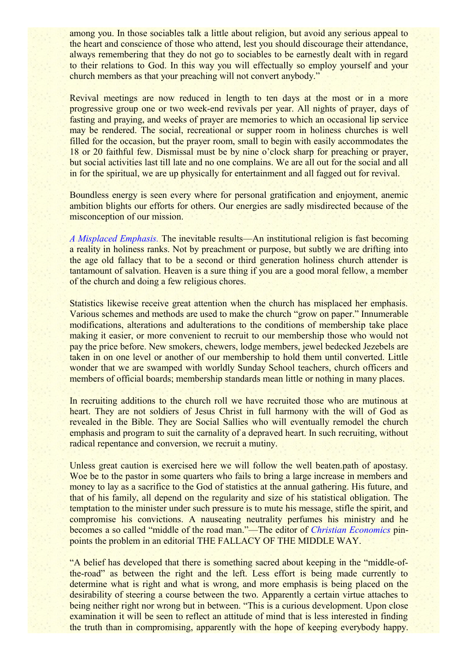among you. In those sociables talk a little about religion, but avoid any serious appeal to the heart and conscience of those who attend, lest you should discourage their attendance, always remembering that they do not go to sociables to be earnestly dealt with in regard to their relations to God. In this way you will effectually so employ yourself and your church members as that your preaching will not convert anybody."

Revival meetings are now reduced in length to ten days at the most or in a more progressive group one or two week-end revivals per year. All nights of prayer, days of fasting and praying, and weeks of prayer are memories to which an occasional lip service may be rendered. The social, recreational or supper room in holiness churches is well filled for the occasion, but the prayer room, small to begin with easily accommodates the 18 or 20 faithful few. Dismissal must be by nine o'clock sharp for preaching or prayer, but social activities last till late and no one complains. We are all out for the social and all in for the spiritual, we are up physically for entertainment and all fagged out for revival.

Boundless energy is seen every where for personal gratification and enjoyment, anemic ambition blights our efforts for others. Our energies are sadly misdirected because of the misconception of our mission.

*A Misplaced Emphasis.* The inevitable results—An institutional religion is fast becoming a reality in holiness ranks. Not by preachment or purpose, but subtly we are drifting into the age old fallacy that to be a second or third generation holiness church attender is tantamount of salvation. Heaven is a sure thing if you are a good moral fellow, a member of the church and doing a few religious chores.

Statistics likewise receive great attention when the church has misplaced her emphasis. Various schemes and methods are used to make the church "grow on paper." Innumerable modifications, alterations and adulterations to the conditions of membership take place making it easier, or more convenient to recruit to our membership those who would not pay the price before. New smokers, chewers, lodge members, jewel bedecked Jezebels are taken in on one level or another of our membership to hold them until converted. Little wonder that we are swamped with worldly Sunday School teachers, church officers and members of official boards; membership standards mean little or nothing in many places.

In recruiting additions to the church roll we have recruited those who are mutinous at heart. They are not soldiers of Jesus Christ in full harmony with the will of God as revealed in the Bible. They are Social Sallies who will eventually remodel the church emphasis and program to suit the carnality of a depraved heart. In such recruiting, without radical repentance and conversion, we recruit a mutiny.

Unless great caution is exercised here we will follow the well beaten.path of apostasy. Woe be to the pastor in some quarters who fails to bring a large increase in members and money to lay as a sacrifice to the God of statistics at the annual gathering. His future, and that of his family, all depend on the regularity and size of his statistical obligation. The temptation to the minister under such pressure is to mute his message, stifle the spirit, and compromise his convictions. A nauseating neutrality perfumes his ministry and he becomes a so called "middle of the road man."—The editor of *Christian Economics* pinpoints the problem in an editorial THE FALLACY OF THE MIDDLE WAY.

"A belief has developed that there is something sacred about keeping in the "middle-ofthe-road" as between the right and the left. Less effort is being made currently to determine what is right and what is wrong, and more emphasis is being placed on the desirability of steering a course between the two. Apparently a certain virtue attaches to being neither right nor wrong but in between. "This is a curious development. Upon close examination it will be seen to reflect an attitude of mind that is less interested in finding the truth than in compromising, apparently with the hope of keeping everybody happy.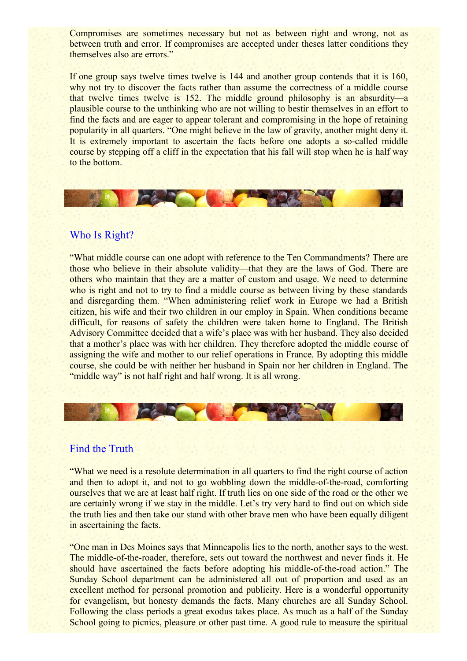Compromises are sometimes necessary but not as between right and wrong, not as between truth and error. If compromises are accepted under theses latter conditions they themselves also are errors."

If one group says twelve times twelve is 144 and another group contends that it is 160, why not try to discover the facts rather than assume the correctness of a middle course that twelve times twelve is 152. The middle ground philosophy is an absurdity—a plausible course to the unthinking who are not willing to bestir themselves in an effort to find the facts and are eager to appear tolerant and compromising in the hope of retaining popularity in all quarters. "One might believe in the law of gravity, another might deny it. It is extremely important to ascertain the facts before one adopts a so-called middle course by stepping off a cliff in the expectation that his fall will stop when he is half way to the bottom.



## Who Is Right?

"What middle course can one adopt with reference to the Ten Commandments? There are those who believe in their absolute validity—that they are the laws of God. There are others who maintain that they are a matter of custom and usage. We need to determine who is right and not to try to find a middle course as between living by these standards and disregarding them. "When administering relief work in Europe we had a British citizen, his wife and their two children in our employ in Spain. When conditions became difficult, for reasons of safety the children were taken home to England. The British Advisory Committee decided that a wife's place was with her husband. They also decided that a mother's place was with her children. They therefore adopted the middle course of assigning the wife and mother to our relief operations in France. By adopting this middle course, she could be with neither her husband in Spain nor her children in England. The "middle way" is not half right and half wrong. It is all wrong.

#### Find the Truth

"What we need is a resolute determination in all quarters to find the right course of action and then to adopt it, and not to go wobbling down the middle-of-the-road, comforting ourselves that we are at least half right. If truth lies on one side of the road or the other we are certainly wrong if we stay in the middle. Let's try very hard to find out on which side the truth lies and then take our stand with other brave men who have been equally diligent in ascertaining the facts.

"One man in Des Moines says that Minneapolis lies to the north, another says to the west. The middle-of-the-roader, therefore, sets out toward the northwest and never finds it. He should have ascertained the facts before adopting his middle-of-the-road action." The Sunday School department can be administered all out of proportion and used as an excellent method for personal promotion and publicity. Here is a wonderful opportunity for evangelism, but honesty demands the facts. Many churches are all Sunday School. Following the class periods a great exodus takes place. As much as a half of the Sunday School going to picnics, pleasure or other past time. A good rule to measure the spiritual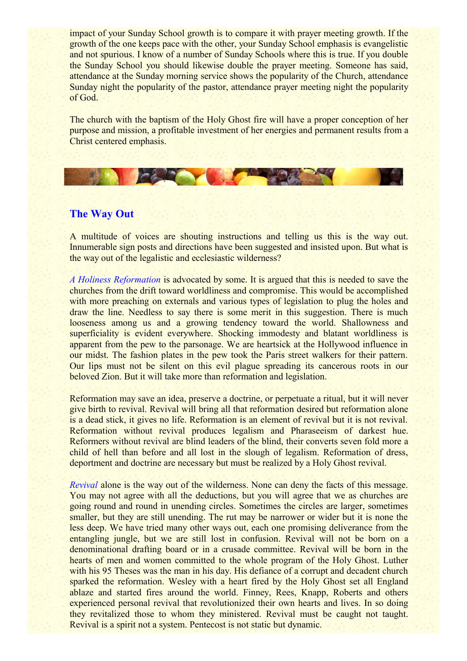impact of your Sunday School growth is to compare it with prayer meeting growth. If the growth of the one keeps pace with the other, your Sunday School emphasis is evangelistic and not spurious. I know of a number of Sunday Schools where this is true. If you double the Sunday School you should likewise double the prayer meeting. Someone has said, attendance at the Sunday morning service shows the popularity of the Church, attendance Sunday night the popularity of the pastor, attendance prayer meeting night the popularity of God.

The church with the baptism of the Holy Ghost fire will have a proper conception of her purpose and mission, a profitable investment of her energies and permanent results from a Christ centered emphasis.

**CAR YOU** 

## **The Way Out**

A multitude of voices are shouting instructions and telling us this is the way out. Innumerable sign posts and directions have been suggested and insisted upon. But what is the way out of the legalistic and ecclesiastic wilderness?

*A Holiness Reformation* is advocated by some. It is argued that this is needed to save the churches from the drift toward worldliness and compromise. This would be accomplished with more preaching on externals and various types of legislation to plug the holes and draw the line. Needless to say there is some merit in this suggestion. There is much looseness among us and a growing tendency toward the world. Shallowness and superficiality is evident everywhere. Shocking immodesty and blatant worldliness is apparent from the pew to the parsonage. We are heartsick at the Hollywood influence in our midst. The fashion plates in the pew took the Paris street walkers for their pattern. Our lips must not be silent on this evil plague spreading its cancerous roots in our beloved Zion. But it will take more than reformation and legislation.

Reformation may save an idea, preserve a doctrine, or perpetuate a ritual, but it will never give birth to revival. Revival will bring all that reformation desired but reformation alone is a dead stick, it gives no life. Reformation is an element of revival but it is not revival. Reformation without revival produces legalism and Pharaseeism of darkest hue. Reformers without revival are blind leaders of the blind, their converts seven fold more a child of hell than before and all lost in the slough of legalism. Reformation of dress, deportment and doctrine are necessary but must be realized by a Holy Ghost revival.

*Revival* alone is the way out of the wilderness. None can deny the facts of this message. You may not agree with all the deductions, but you will agree that we as churches are going round and round in unending circles. Sometimes the circles are larger, sometimes smaller, but they are still unending. The rut may be narrower or wider but it is none the less deep. We have tried many other ways out, each one promising deliverance from the entangling jungle, but we are still lost in confusion. Revival will not be born on a denominational drafting board or in a crusade committee. Revival will be born in the hearts of men and women committed to the whole program of the Holy Ghost. Luther with his 95 Theses was the man in his day. His defiance of a corrupt and decadent church sparked the reformation. Wesley with a heart fired by the Holy Ghost set all England ablaze and started fires around the world. Finney, Rees, Knapp, Roberts and others experienced personal revival that revolutionized their own hearts and lives. In so doing they revitalized those to whom they ministered. Revival must be caught not taught. Revival is a spirit not a system. Pentecost is not static but dynamic.